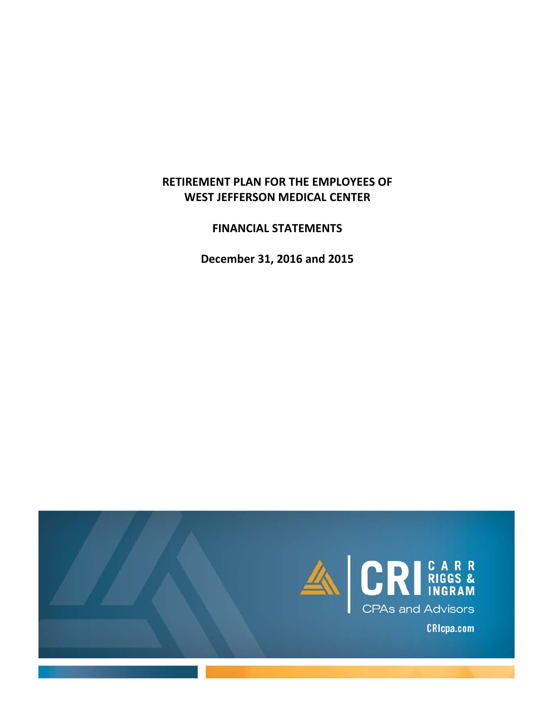## **RETIREMENT PLAN FOR THE EMPLOYEES OF WEST JEFFERSON MEDICAL CENTER**

**FINANCIAL STATEMENTS**

**December 31, 2016 and 2015**

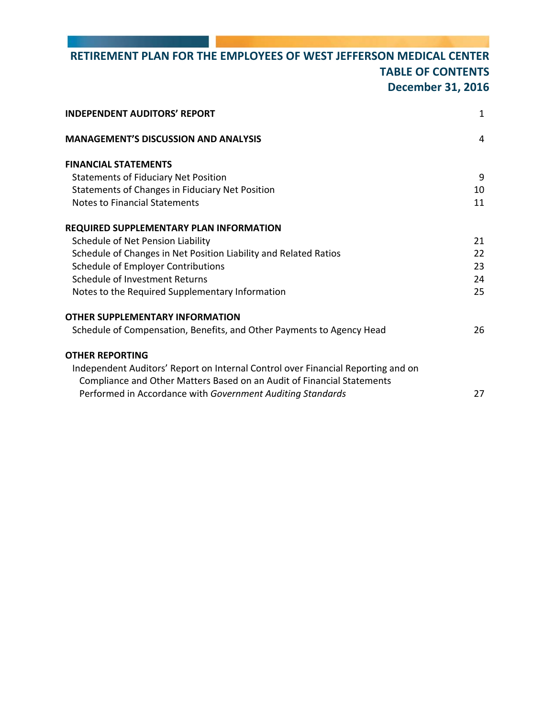# **RETIREMENT PLAN FOR THE EMPLOYEES OF WEST JEFFERSON MEDICAL CENTER TABLE OF CONTENTS December 31, 2016**

| <b>INDEPENDENT AUDITORS' REPORT</b>                                              | $\mathbf{1}$ |
|----------------------------------------------------------------------------------|--------------|
| <b>MANAGEMENT'S DISCUSSION AND ANALYSIS</b>                                      | 4            |
| <b>FINANCIAL STATEMENTS</b>                                                      |              |
| <b>Statements of Fiduciary Net Position</b>                                      | 9            |
| Statements of Changes in Fiduciary Net Position                                  | 10           |
| <b>Notes to Financial Statements</b>                                             | 11           |
| REQUIRED SUPPLEMENTARY PLAN INFORMATION                                          |              |
| Schedule of Net Pension Liability                                                | 21           |
| Schedule of Changes in Net Position Liability and Related Ratios                 | 22           |
| Schedule of Employer Contributions                                               | 23           |
| Schedule of Investment Returns                                                   | 24           |
| Notes to the Required Supplementary Information                                  | 25           |
| OTHER SUPPLEMENTARY INFORMATION                                                  |              |
| Schedule of Compensation, Benefits, and Other Payments to Agency Head            | 26           |
| OTHER REPORTING                                                                  |              |
| Independent Auditors' Report on Internal Control over Financial Reporting and on |              |
| Compliance and Other Matters Based on an Audit of Financial Statements           |              |
| Performed in Accordance with Government Auditing Standards                       | 27           |
|                                                                                  |              |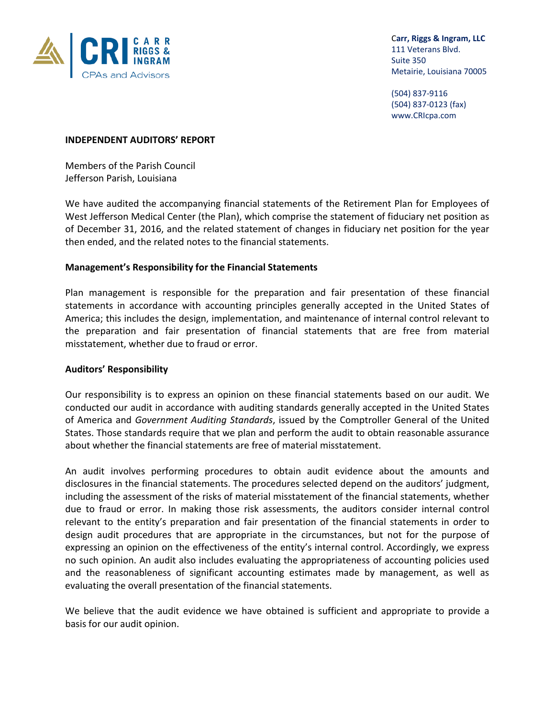

 C**arr, Riggs & Ingram, LLC** 111 Veterans Blvd.

 (504) 837‐9116 (504) 837‐0123 (fax) www.CRIcpa.com

#### **INDEPENDENT AUDITORS' REPORT**

Members of the Parish Council Jefferson Parish, Louisiana

We have audited the accompanying financial statements of the Retirement Plan for Employees of West Jefferson Medical Center (the Plan), which comprise the statement of fiduciary net position as of December 31, 2016, and the related statement of changes in fiduciary net position for the year then ended, and the related notes to the financial statements.

### **Management's Responsibility for the Financial Statements**

Plan management is responsible for the preparation and fair presentation of these financial statements in accordance with accounting principles generally accepted in the United States of America; this includes the design, implementation, and maintenance of internal control relevant to the preparation and fair presentation of financial statements that are free from material misstatement, whether due to fraud or error.

#### **Auditors' Responsibility**

Our responsibility is to express an opinion on these financial statements based on our audit. We conducted our audit in accordance with auditing standards generally accepted in the United States of America and *Government Auditing Standards*, issued by the Comptroller General of the United States. Those standards require that we plan and perform the audit to obtain reasonable assurance about whether the financial statements are free of material misstatement.

An audit involves performing procedures to obtain audit evidence about the amounts and disclosures in the financial statements. The procedures selected depend on the auditors' judgment, including the assessment of the risks of material misstatement of the financial statements, whether due to fraud or error. In making those risk assessments, the auditors consider internal control relevant to the entity's preparation and fair presentation of the financial statements in order to design audit procedures that are appropriate in the circumstances, but not for the purpose of expressing an opinion on the effectiveness of the entity's internal control. Accordingly, we express no such opinion. An audit also includes evaluating the appropriateness of accounting policies used and the reasonableness of significant accounting estimates made by management, as well as evaluating the overall presentation of the financial statements.

We believe that the audit evidence we have obtained is sufficient and appropriate to provide a basis for our audit opinion.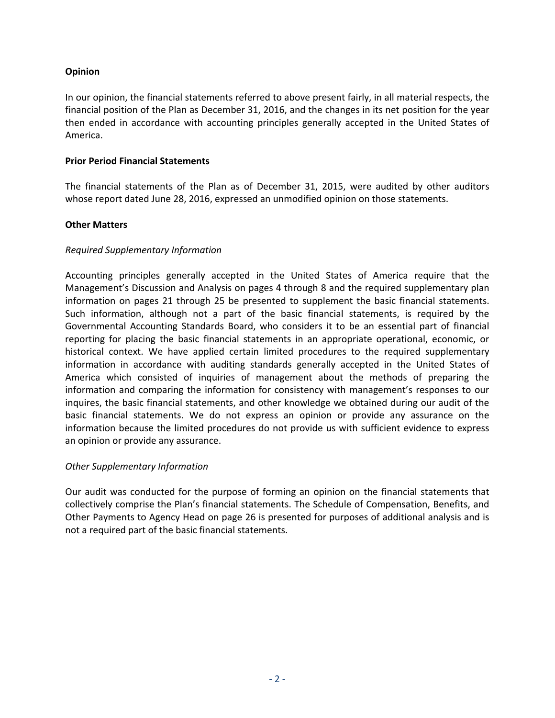## **Opinion**

In our opinion, the financial statements referred to above present fairly, in all material respects, the financial position of the Plan as December 31, 2016, and the changes in its net position for the year then ended in accordance with accounting principles generally accepted in the United States of America.

### **Prior Period Financial Statements**

The financial statements of the Plan as of December 31, 2015, were audited by other auditors whose report dated June 28, 2016, expressed an unmodified opinion on those statements.

### **Other Matters**

### *Required Supplementary Information*

Accounting principles generally accepted in the United States of America require that the Management's Discussion and Analysis on pages 4 through 8 and the required supplementary plan information on pages 21 through 25 be presented to supplement the basic financial statements. Such information, although not a part of the basic financial statements, is required by the Governmental Accounting Standards Board, who considers it to be an essential part of financial reporting for placing the basic financial statements in an appropriate operational, economic, or historical context. We have applied certain limited procedures to the required supplementary information in accordance with auditing standards generally accepted in the United States of America which consisted of inquiries of management about the methods of preparing the information and comparing the information for consistency with management's responses to our inquires, the basic financial statements, and other knowledge we obtained during our audit of the basic financial statements. We do not express an opinion or provide any assurance on the information because the limited procedures do not provide us with sufficient evidence to express an opinion or provide any assurance.

## *Other Supplementary Information*

Our audit was conducted for the purpose of forming an opinion on the financial statements that collectively comprise the Plan's financial statements. The Schedule of Compensation, Benefits, and Other Payments to Agency Head on page 26 is presented for purposes of additional analysis and is not a required part of the basic financial statements.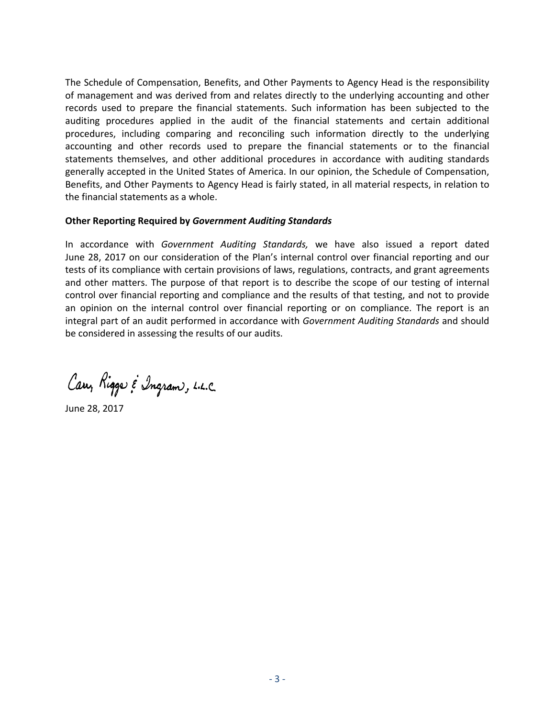The Schedule of Compensation, Benefits, and Other Payments to Agency Head is the responsibility of management and was derived from and relates directly to the underlying accounting and other records used to prepare the financial statements. Such information has been subjected to the auditing procedures applied in the audit of the financial statements and certain additional procedures, including comparing and reconciling such information directly to the underlying accounting and other records used to prepare the financial statements or to the financial statements themselves, and other additional procedures in accordance with auditing standards generally accepted in the United States of America. In our opinion, the Schedule of Compensation, Benefits, and Other Payments to Agency Head is fairly stated, in all material respects, in relation to the financial statements as a whole.

### **Other Reporting Required by** *Government Auditing Standards*

In accordance with *Government Auditing Standards,* we have also issued a report dated June 28, 2017 on our consideration of the Plan's internal control over financial reporting and our tests of its compliance with certain provisions of laws, regulations, contracts, and grant agreements and other matters. The purpose of that report is to describe the scope of our testing of internal control over financial reporting and compliance and the results of that testing, and not to provide an opinion on the internal control over financial reporting or on compliance. The report is an integral part of an audit performed in accordance with *Government Auditing Standards* and should be considered in assessing the results of our audits.

Carr, Riggs & Ingram, L.L.C.

June 28, 2017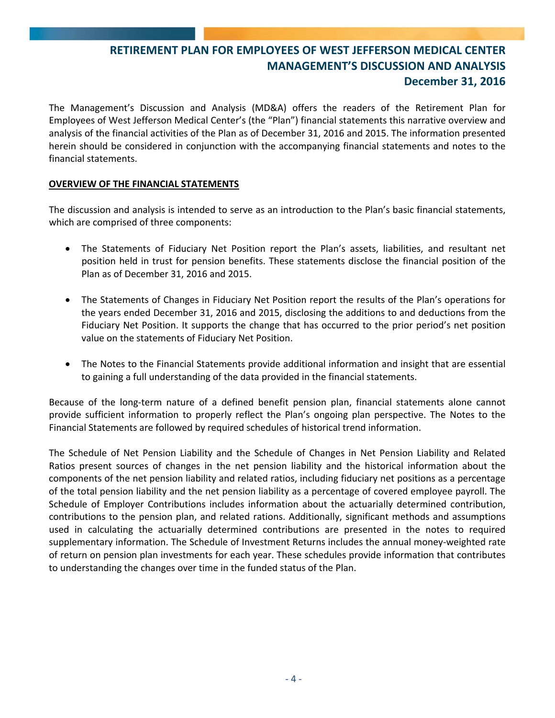The Management's Discussion and Analysis (MD&A) offers the readers of the Retirement Plan for Employees of West Jefferson Medical Center's (the "Plan") financial statements this narrative overview and analysis of the financial activities of the Plan as of December 31, 2016 and 2015. The information presented herein should be considered in conjunction with the accompanying financial statements and notes to the financial statements.

## **OVERVIEW OF THE FINANCIAL STATEMENTS**

The discussion and analysis is intended to serve as an introduction to the Plan's basic financial statements, which are comprised of three components:

- The Statements of Fiduciary Net Position report the Plan's assets, liabilities, and resultant net position held in trust for pension benefits. These statements disclose the financial position of the Plan as of December 31, 2016 and 2015.
- The Statements of Changes in Fiduciary Net Position report the results of the Plan's operations for the years ended December 31, 2016 and 2015, disclosing the additions to and deductions from the Fiduciary Net Position. It supports the change that has occurred to the prior period's net position value on the statements of Fiduciary Net Position.
- The Notes to the Financial Statements provide additional information and insight that are essential to gaining a full understanding of the data provided in the financial statements.

Because of the long-term nature of a defined benefit pension plan, financial statements alone cannot provide sufficient information to properly reflect the Plan's ongoing plan perspective. The Notes to the Financial Statements are followed by required schedules of historical trend information.

The Schedule of Net Pension Liability and the Schedule of Changes in Net Pension Liability and Related Ratios present sources of changes in the net pension liability and the historical information about the components of the net pension liability and related ratios, including fiduciary net positions as a percentage of the total pension liability and the net pension liability as a percentage of covered employee payroll. The Schedule of Employer Contributions includes information about the actuarially determined contribution, contributions to the pension plan, and related rations. Additionally, significant methods and assumptions used in calculating the actuarially determined contributions are presented in the notes to required supplementary information. The Schedule of Investment Returns includes the annual money‐weighted rate of return on pension plan investments for each year. These schedules provide information that contributes to understanding the changes over time in the funded status of the Plan.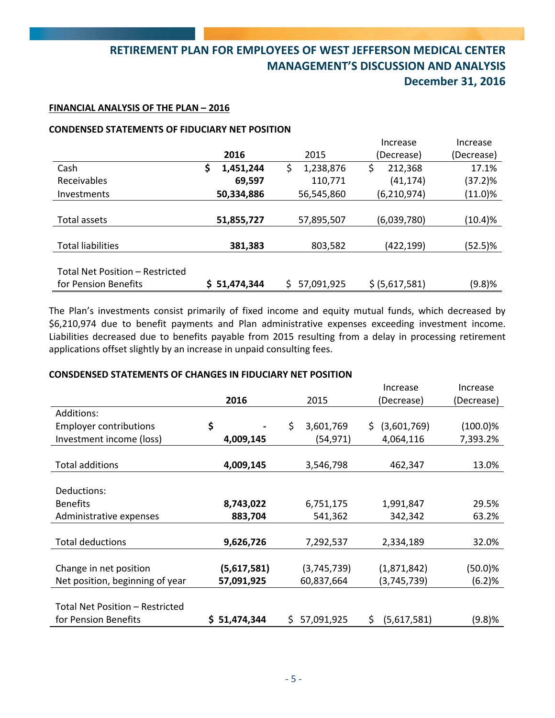#### **FINANCIAL ANALYSIS OF THE PLAN – 2016**

#### **CONDENSED STATEMENTS OF FIDUCIARY NET POSITION**

|                                 |                 |                 | Increase       | Increase   |
|---------------------------------|-----------------|-----------------|----------------|------------|
|                                 | 2016            | 2015            | (Decrease)     | (Decrease) |
| Cash                            | \$<br>1,451,244 | 1,238,876<br>\$ | \$<br>212,368  | 17.1%      |
| Receivables                     | 69,597          | 110,771         | (41, 174)      | (37.2)%    |
| Investments                     | 50,334,886      | 56,545,860      | (6, 210, 974)  | (11.0)%    |
|                                 |                 |                 |                |            |
| Total assets                    | 51,855,727      | 57,895,507      | (6,039,780)    | (10.4)%    |
|                                 |                 |                 |                |            |
| <b>Total liabilities</b>        | 381,383         | 803,582         | (422, 199)     | $(52.5)\%$ |
|                                 |                 |                 |                |            |
| Total Net Position - Restricted |                 |                 |                |            |
| for Pension Benefits            | \$ 51,474,344   | 57,091,925      | \$ (5,617,581) | (9.8)%     |

The Plan's investments consist primarily of fixed income and equity mutual funds, which decreased by \$6,210,974 due to benefit payments and Plan administrative expenses exceeding investment income. Liabilities decreased due to benefits payable from 2015 resulting from a delay in processing retirement applications offset slightly by an increase in unpaid consulting fees.

#### **CONSDENSED STATEMENTS OF CHANGES IN FIDUCIARY NET POSITION**

|                                 |               |                  | Increase          | Increase    |
|---------------------------------|---------------|------------------|-------------------|-------------|
|                                 | 2016          | 2015             | (Decrease)        | (Decrease)  |
| Additions:                      |               |                  |                   |             |
| <b>Employer contributions</b>   | \$            | \$<br>3,601,769  | (3,601,769)<br>S. | $(100.0)\%$ |
| Investment income (loss)        | 4,009,145     | (54, 971)        | 4,064,116         | 7,393.2%    |
|                                 |               |                  |                   |             |
| <b>Total additions</b>          | 4,009,145     | 3,546,798        | 462,347           | 13.0%       |
|                                 |               |                  |                   |             |
| Deductions:                     |               |                  |                   |             |
| <b>Benefits</b>                 | 8,743,022     | 6,751,175        | 1,991,847         | 29.5%       |
| Administrative expenses         | 883,704       | 541,362          | 342,342           | 63.2%       |
|                                 |               |                  |                   |             |
| <b>Total deductions</b>         | 9,626,726     | 7,292,537        | 2,334,189         | 32.0%       |
|                                 |               |                  |                   |             |
| Change in net position          | (5,617,581)   | (3,745,739)      | (1,871,842)       | (50.0)%     |
| Net position, beginning of year | 57,091,925    | 60,837,664       | (3,745,739)       | (6.2)%      |
|                                 |               |                  |                   |             |
| Total Net Position - Restricted |               |                  |                   |             |
| for Pension Benefits            | \$ 51,474,344 | \$<br>57,091,925 | \$<br>(5,617,581) | (9.8)%      |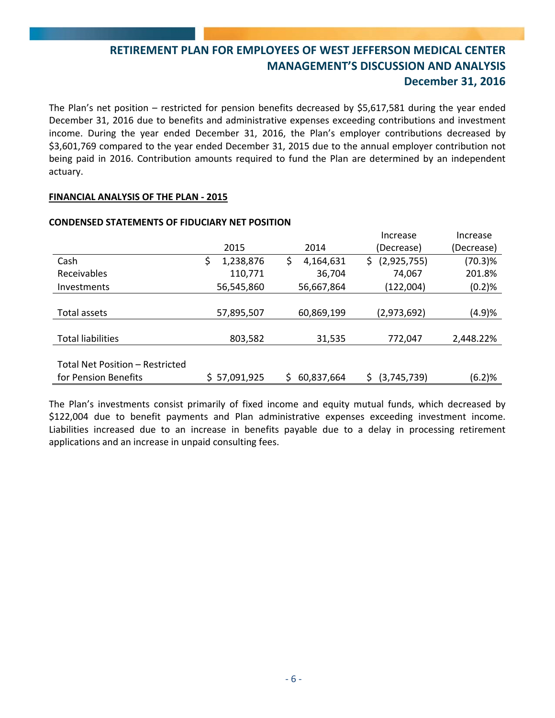The Plan's net position – restricted for pension benefits decreased by \$5,617,581 during the year ended December 31, 2016 due to benefits and administrative expenses exceeding contributions and investment income. During the year ended December 31, 2016, the Plan's employer contributions decreased by \$3,601,769 compared to the year ended December 31, 2015 due to the annual employer contribution not being paid in 2016. Contribution amounts required to fund the Plan are determined by an independent actuary.

## **FINANCIAL ANALYSIS OF THE PLAN ‐ 2015**

|                                 |                 |                  | Increase           | Increase   |
|---------------------------------|-----------------|------------------|--------------------|------------|
|                                 | 2015            | 2014             | (Decrease)         | (Decrease) |
| Cash                            | 1,238,876<br>\$ | 4,164,631<br>\$  | (2,925,755)<br>\$. | (70.3)%    |
| Receivables                     | 110,771         | 36,704           | 74,067             | 201.8%     |
| Investments                     | 56,545,860      | 56,667,864       | (122,004)          | (0.2)%     |
|                                 |                 |                  |                    |            |
| Total assets                    | 57,895,507      | 60,869,199       | (2,973,692)        | (4.9)%     |
|                                 |                 |                  |                    |            |
| <b>Total liabilities</b>        | 803,582         | 31,535           | 772,047            | 2,448.22%  |
|                                 |                 |                  |                    |            |
| Total Net Position – Restricted |                 |                  |                    |            |
| for Pension Benefits            | \$57,091,925    | 60,837,664<br>Ś. | (3,745,739)<br>S   | (6.2)%     |

#### **CONDENSED STATEMENTS OF FIDUCIARY NET POSITION**

The Plan's investments consist primarily of fixed income and equity mutual funds, which decreased by \$122,004 due to benefit payments and Plan administrative expenses exceeding investment income. Liabilities increased due to an increase in benefits payable due to a delay in processing retirement applications and an increase in unpaid consulting fees.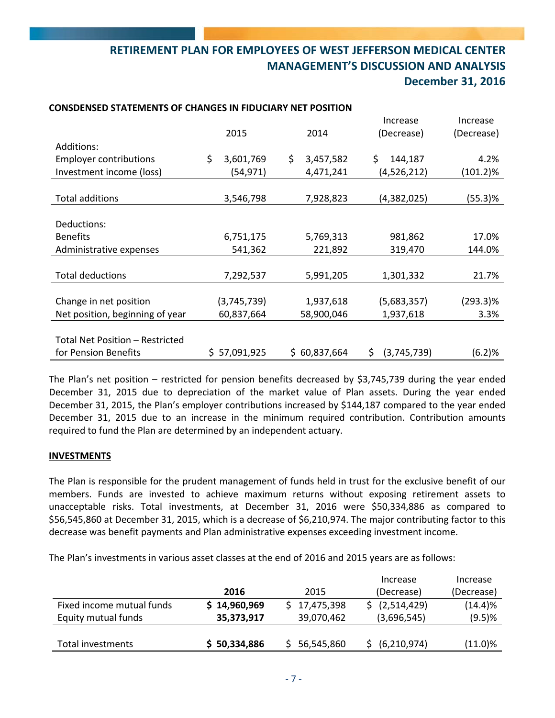|                                 |                 |                    | Increase          | Increase    |  |
|---------------------------------|-----------------|--------------------|-------------------|-------------|--|
|                                 | 2015            | 2014<br>(Decrease) |                   | (Decrease)  |  |
| Additions:                      |                 |                    |                   |             |  |
| <b>Employer contributions</b>   | \$<br>3,601,769 | \$<br>3,457,582    | \$<br>144,187     | 4.2%        |  |
| Investment income (loss)        | (54, 971)       | 4,471,241          | (4,526,212)       | $(101.2)\%$ |  |
|                                 |                 |                    |                   |             |  |
| <b>Total additions</b>          | 3,546,798       | 7,928,823          | (4,382,025)       | (55.3)%     |  |
|                                 |                 |                    |                   |             |  |
| Deductions:                     |                 |                    |                   |             |  |
| <b>Benefits</b>                 | 6,751,175       | 5,769,313          | 981,862           | 17.0%       |  |
| Administrative expenses         | 541,362         | 221,892            | 319,470           | 144.0%      |  |
|                                 |                 |                    |                   |             |  |
| <b>Total deductions</b>         | 7,292,537       | 5,991,205          | 1,301,332         | 21.7%       |  |
|                                 |                 |                    |                   |             |  |
| Change in net position          | (3,745,739)     | 1,937,618          | (5,683,357)       | $(293.3)\%$ |  |
| Net position, beginning of year | 60,837,664      | 58,900,046         | 1,937,618         | 3.3%        |  |
|                                 |                 |                    |                   |             |  |
| Total Net Position - Restricted |                 |                    |                   |             |  |
| for Pension Benefits            | \$57,091,925    | \$60,837,664       | (3,745,739)<br>\$ | (6.2)%      |  |

#### **CONSDENSED STATEMENTS OF CHANGES IN FIDUCIARY NET POSITION**

The Plan's net position – restricted for pension benefits decreased by \$3,745,739 during the year ended December 31, 2015 due to depreciation of the market value of Plan assets. During the year ended December 31, 2015, the Plan's employer contributions increased by \$144,187 compared to the year ended December 31, 2015 due to an increase in the minimum required contribution. Contribution amounts required to fund the Plan are determined by an independent actuary.

## **INVESTMENTS**

The Plan is responsible for the prudent management of funds held in trust for the exclusive benefit of our members. Funds are invested to achieve maximum returns without exposing retirement assets to unacceptable risks. Total investments, at December 31, 2016 were \$50,334,886 as compared to \$56,545,860 at December 31, 2015, which is a decrease of \$6,210,974. The major contributing factor to this decrease was benefit payments and Plan administrative expenses exceeding investment income.

The Plan's investments in various asset classes at the end of 2016 and 2015 years are as follows:

|                           |              |              | Increase                  | Increase   |
|---------------------------|--------------|--------------|---------------------------|------------|
|                           | 2016         | 2015         | (Decrease)                | (Decrease) |
| Fixed income mutual funds | \$14,960,969 | \$17,475,398 | $\frac{1}{2}$ (2,514,429) | (14.4)%    |
| Equity mutual funds       | 35,373,917   | 39,070,462   | (3,696,545)               | $(9.5)$ %  |
|                           |              |              |                           |            |
| Total investments         | \$50,334,886 | 56,545,860   | (6, 210, 974)             | $(11.0)\%$ |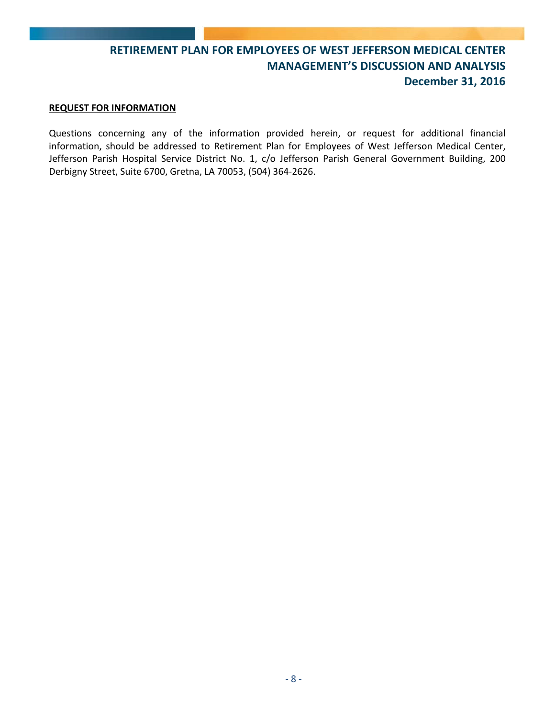#### **REQUEST FOR INFORMATION**

Questions concerning any of the information provided herein, or request for additional financial information, should be addressed to Retirement Plan for Employees of West Jefferson Medical Center, Jefferson Parish Hospital Service District No. 1, c/o Jefferson Parish General Government Building, 200 Derbigny Street, Suite 6700, Gretna, LA 70053, (504) 364‐2626.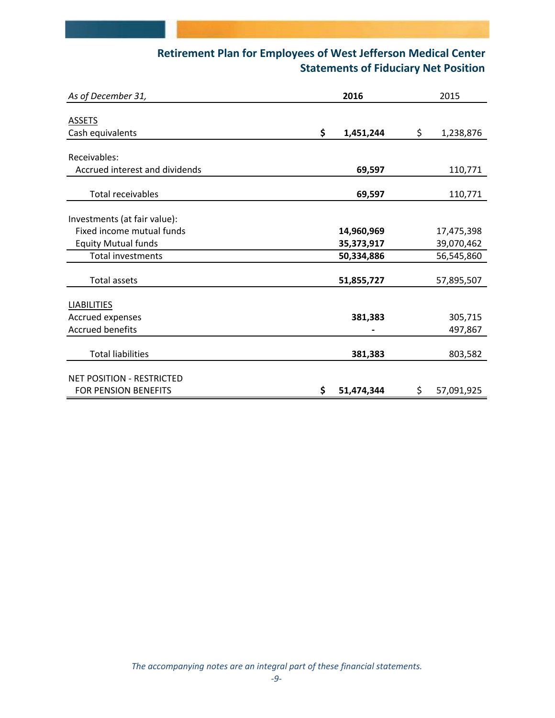# **Retirement Plan for Employees of West Jefferson Medical Center Statements of Fiduciary Net Position**

| As of December 31,               | 2016 |            |    | 2015       |  |  |
|----------------------------------|------|------------|----|------------|--|--|
|                                  |      |            |    |            |  |  |
| <b>ASSETS</b>                    |      |            |    |            |  |  |
| Cash equivalents                 | \$   | 1,451,244  | \$ | 1,238,876  |  |  |
|                                  |      |            |    |            |  |  |
| Receivables:                     |      |            |    |            |  |  |
| Accrued interest and dividends   |      | 69,597     |    | 110,771    |  |  |
|                                  |      |            |    |            |  |  |
| <b>Total receivables</b>         |      | 69,597     |    | 110,771    |  |  |
|                                  |      |            |    |            |  |  |
| Investments (at fair value):     |      |            |    |            |  |  |
| Fixed income mutual funds        |      | 14,960,969 |    | 17,475,398 |  |  |
| <b>Equity Mutual funds</b>       |      | 35,373,917 |    | 39,070,462 |  |  |
| <b>Total investments</b>         |      | 50,334,886 |    | 56,545,860 |  |  |
|                                  |      |            |    |            |  |  |
| <b>Total assets</b>              |      | 51,855,727 |    | 57,895,507 |  |  |
|                                  |      |            |    |            |  |  |
| <b>LIABILITIES</b>               |      |            |    |            |  |  |
| Accrued expenses                 |      | 381,383    |    | 305,715    |  |  |
| <b>Accrued benefits</b>          |      |            |    | 497,867    |  |  |
|                                  |      |            |    |            |  |  |
| <b>Total liabilities</b>         |      | 381,383    |    | 803,582    |  |  |
|                                  |      |            |    |            |  |  |
| <b>NET POSITION - RESTRICTED</b> |      |            |    |            |  |  |
| FOR PENSION BENEFITS             | \$   | 51,474,344 | \$ | 57,091,925 |  |  |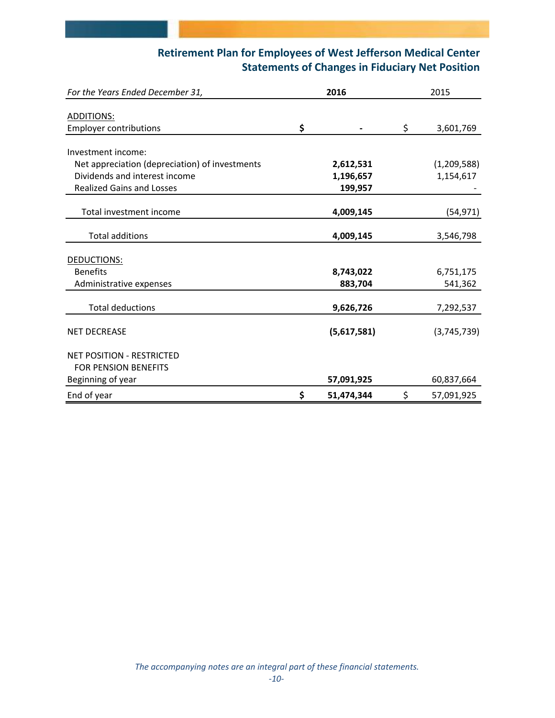# **Retirement Plan for Employees of West Jefferson Medical Center Statements of Changes in Fiduciary Net Position**

| For the Years Ended December 31,               | 2016             | 2015 |             |  |
|------------------------------------------------|------------------|------|-------------|--|
|                                                |                  |      |             |  |
| <b>ADDITIONS:</b>                              |                  |      |             |  |
| <b>Employer contributions</b>                  | \$               | \$   | 3,601,769   |  |
|                                                |                  |      |             |  |
| Investment income:                             |                  |      |             |  |
| Net appreciation (depreciation) of investments | 2,612,531        |      | (1,209,588) |  |
| Dividends and interest income                  | 1,196,657        |      | 1,154,617   |  |
| <b>Realized Gains and Losses</b>               | 199,957          |      |             |  |
|                                                |                  |      |             |  |
| Total investment income                        | 4,009,145        |      | (54, 971)   |  |
|                                                |                  |      |             |  |
| <b>Total additions</b>                         | 4,009,145        |      | 3,546,798   |  |
|                                                |                  |      |             |  |
| DEDUCTIONS:                                    |                  |      |             |  |
| <b>Benefits</b>                                | 8,743,022        |      | 6,751,175   |  |
| Administrative expenses                        | 883,704          |      | 541,362     |  |
|                                                |                  |      |             |  |
| <b>Total deductions</b>                        | 9,626,726        |      | 7,292,537   |  |
|                                                |                  |      |             |  |
| <b>NET DECREASE</b>                            | (5,617,581)      |      | (3,745,739) |  |
|                                                |                  |      |             |  |
| <b>NET POSITION - RESTRICTED</b>               |                  |      |             |  |
| <b>FOR PENSION BENEFITS</b>                    |                  |      |             |  |
| Beginning of year                              | 57,091,925       |      | 60,837,664  |  |
| End of year                                    | \$<br>51,474,344 | \$   | 57,091,925  |  |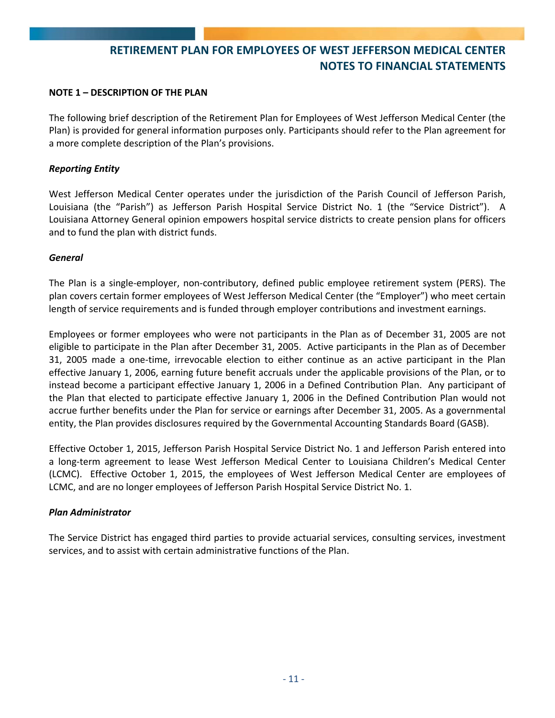#### **NOTE 1 – DESCRIPTION OF THE PLAN**

The following brief description of the Retirement Plan for Employees of West Jefferson Medical Center (the Plan) is provided for general information purposes only. Participants should refer to the Plan agreement for a more complete description of the Plan's provisions.

### *Reporting Entity*

West Jefferson Medical Center operates under the jurisdiction of the Parish Council of Jefferson Parish, Louisiana (the "Parish") as Jefferson Parish Hospital Service District No. 1 (the "Service District"). A Louisiana Attorney General opinion empowers hospital service districts to create pension plans for officers and to fund the plan with district funds.

#### *General*

The Plan is a single-employer, non-contributory, defined public employee retirement system (PERS). The plan covers certain former employees of West Jefferson Medical Center (the "Employer") who meet certain length of service requirements and is funded through employer contributions and investment earnings.

Employees or former employees who were not participants in the Plan as of December 31, 2005 are not eligible to participate in the Plan after December 31, 2005. Active participants in the Plan as of December 31, 2005 made a one‐time, irrevocable election to either continue as an active participant in the Plan effective January 1, 2006, earning future benefit accruals under the applicable provisions of the Plan, or to instead become a participant effective January 1, 2006 in a Defined Contribution Plan. Any participant of the Plan that elected to participate effective January 1, 2006 in the Defined Contribution Plan would not accrue further benefits under the Plan for service or earnings after December 31, 2005. As a governmental entity, the Plan provides disclosures required by the Governmental Accounting Standards Board (GASB).

Effective October 1, 2015, Jefferson Parish Hospital Service District No. 1 and Jefferson Parish entered into a long‐term agreement to lease West Jefferson Medical Center to Louisiana Children's Medical Center (LCMC). Effective October 1, 2015, the employees of West Jefferson Medical Center are employees of LCMC, and are no longer employees of Jefferson Parish Hospital Service District No. 1.

#### *Plan Administrator*

The Service District has engaged third parties to provide actuarial services, consulting services, investment services, and to assist with certain administrative functions of the Plan.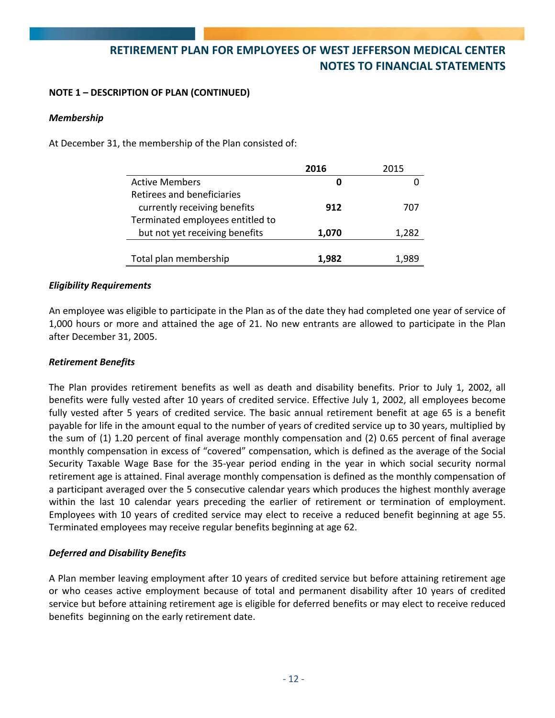### **NOTE 1 – DESCRIPTION OF PLAN (CONTINUED)**

#### *Membership*

At December 31, the membership of the Plan consisted of:

|                                  | 2016  | 2015  |
|----------------------------------|-------|-------|
| <b>Active Members</b>            |       |       |
| Retirees and beneficiaries       |       |       |
| currently receiving benefits     | 912   | 707   |
| Terminated employees entitled to |       |       |
| but not yet receiving benefits   | 1,070 | 1,282 |
|                                  |       |       |
| Total plan membership            | 1.982 |       |

#### *Eligibility Requirements*

An employee was eligible to participate in the Plan as of the date they had completed one year of service of 1,000 hours or more and attained the age of 21. No new entrants are allowed to participate in the Plan after December 31, 2005.

#### *Retirement Benefits*

The Plan provides retirement benefits as well as death and disability benefits. Prior to July 1, 2002, all benefits were fully vested after 10 years of credited service. Effective July 1, 2002, all employees become fully vested after 5 years of credited service. The basic annual retirement benefit at age 65 is a benefit payable for life in the amount equal to the number of years of credited service up to 30 years, multiplied by the sum of (1) 1.20 percent of final average monthly compensation and (2) 0.65 percent of final average monthly compensation in excess of "covered" compensation, which is defined as the average of the Social Security Taxable Wage Base for the 35‐year period ending in the year in which social security normal retirement age is attained. Final average monthly compensation is defined as the monthly compensation of a participant averaged over the 5 consecutive calendar years which produces the highest monthly average within the last 10 calendar years preceding the earlier of retirement or termination of employment. Employees with 10 years of credited service may elect to receive a reduced benefit beginning at age 55. Terminated employees may receive regular benefits beginning at age 62.

## *Deferred and Disability Benefits*

A Plan member leaving employment after 10 years of credited service but before attaining retirement age or who ceases active employment because of total and permanent disability after 10 years of credited service but before attaining retirement age is eligible for deferred benefits or may elect to receive reduced benefits beginning on the early retirement date.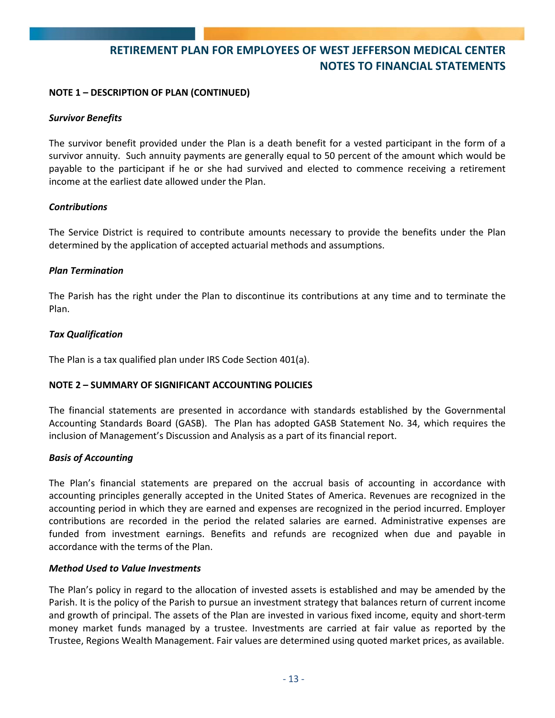### **NOTE 1 – DESCRIPTION OF PLAN (CONTINUED)**

#### *Survivor Benefits*

The survivor benefit provided under the Plan is a death benefit for a vested participant in the form of a survivor annuity. Such annuity payments are generally equal to 50 percent of the amount which would be payable to the participant if he or she had survived and elected to commence receiving a retirement income at the earliest date allowed under the Plan.

### *Contributions*

The Service District is required to contribute amounts necessary to provide the benefits under the Plan determined by the application of accepted actuarial methods and assumptions.

#### *Plan Termination*

The Parish has the right under the Plan to discontinue its contributions at any time and to terminate the Plan.

### *Tax Qualification*

The Plan is a tax qualified plan under IRS Code Section 401(a).

## **NOTE 2 – SUMMARY OF SIGNIFICANT ACCOUNTING POLICIES**

The financial statements are presented in accordance with standards established by the Governmental Accounting Standards Board (GASB). The Plan has adopted GASB Statement No. 34, which requires the inclusion of Management's Discussion and Analysis as a part of its financial report.

#### *Basis of Accounting*

The Plan's financial statements are prepared on the accrual basis of accounting in accordance with accounting principles generally accepted in the United States of America. Revenues are recognized in the accounting period in which they are earned and expenses are recognized in the period incurred. Employer contributions are recorded in the period the related salaries are earned. Administrative expenses are funded from investment earnings. Benefits and refunds are recognized when due and payable in accordance with the terms of the Plan.

#### *Method Used to Value Investments*

The Plan's policy in regard to the allocation of invested assets is established and may be amended by the Parish. It is the policy of the Parish to pursue an investment strategy that balances return of current income and growth of principal. The assets of the Plan are invested in various fixed income, equity and short‐term money market funds managed by a trustee. Investments are carried at fair value as reported by the Trustee, Regions Wealth Management. Fair values are determined using quoted market prices, as available.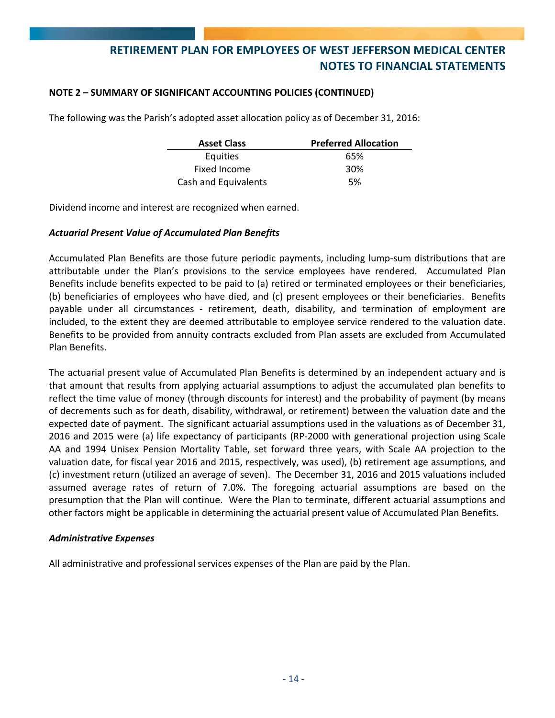### **NOTE 2 – SUMMARY OF SIGNIFICANT ACCOUNTING POLICIES (CONTINUED)**

The following was the Parish's adopted asset allocation policy as of December 31, 2016:

| <b>Asset Class</b>   | <b>Preferred Allocation</b> |
|----------------------|-----------------------------|
| Equities             | 65%                         |
| Fixed Income         | 30%                         |
| Cash and Equivalents | .5%                         |

Dividend income and interest are recognized when earned.

#### *Actuarial Present Value of Accumulated Plan Benefits*

Accumulated Plan Benefits are those future periodic payments, including lump‐sum distributions that are attributable under the Plan's provisions to the service employees have rendered. Accumulated Plan Benefits include benefits expected to be paid to (a) retired or terminated employees or their beneficiaries, (b) beneficiaries of employees who have died, and (c) present employees or their beneficiaries. Benefits payable under all circumstances - retirement, death, disability, and termination of employment are included, to the extent they are deemed attributable to employee service rendered to the valuation date. Benefits to be provided from annuity contracts excluded from Plan assets are excluded from Accumulated Plan Benefits.

The actuarial present value of Accumulated Plan Benefits is determined by an independent actuary and is that amount that results from applying actuarial assumptions to adjust the accumulated plan benefits to reflect the time value of money (through discounts for interest) and the probability of payment (by means of decrements such as for death, disability, withdrawal, or retirement) between the valuation date and the expected date of payment. The significant actuarial assumptions used in the valuations as of December 31, 2016 and 2015 were (a) life expectancy of participants (RP‐2000 with generational projection using Scale AA and 1994 Unisex Pension Mortality Table, set forward three years, with Scale AA projection to the valuation date, for fiscal year 2016 and 2015, respectively, was used), (b) retirement age assumptions, and (c) investment return (utilized an average of seven). The December 31, 2016 and 2015 valuations included assumed average rates of return of 7.0%. The foregoing actuarial assumptions are based on the presumption that the Plan will continue. Were the Plan to terminate, different actuarial assumptions and other factors might be applicable in determining the actuarial present value of Accumulated Plan Benefits.

#### *Administrative Expenses*

All administrative and professional services expenses of the Plan are paid by the Plan.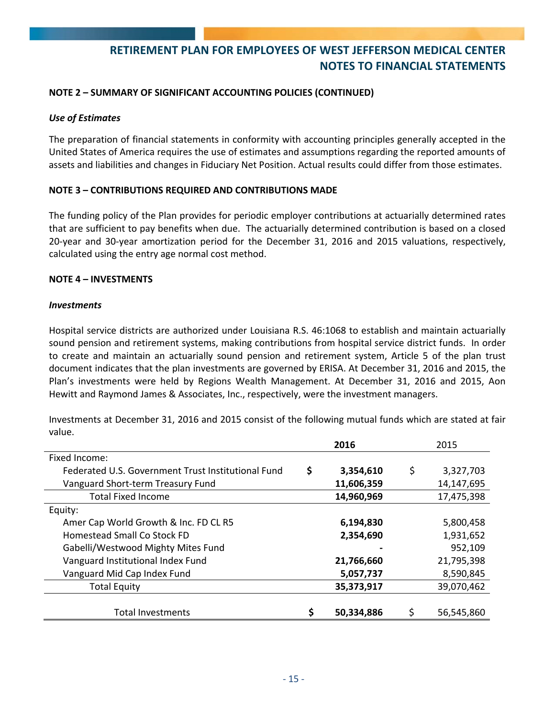### **NOTE 2 – SUMMARY OF SIGNIFICANT ACCOUNTING POLICIES (CONTINUED)**

### *Use of Estimates*

The preparation of financial statements in conformity with accounting principles generally accepted in the United States of America requires the use of estimates and assumptions regarding the reported amounts of assets and liabilities and changes in Fiduciary Net Position. Actual results could differ from those estimates.

#### **NOTE 3 – CONTRIBUTIONS REQUIRED AND CONTRIBUTIONS MADE**

The funding policy of the Plan provides for periodic employer contributions at actuarially determined rates that are sufficient to pay benefits when due. The actuarially determined contribution is based on a closed 20‐year and 30‐year amortization period for the December 31, 2016 and 2015 valuations, respectively, calculated using the entry age normal cost method.

#### **NOTE 4 – INVESTMENTS**

#### *Investments*

Hospital service districts are authorized under Louisiana R.S. 46:1068 to establish and maintain actuarially sound pension and retirement systems, making contributions from hospital service district funds. In order to create and maintain an actuarially sound pension and retirement system, Article 5 of the plan trust document indicates that the plan investments are governed by ERISA. At December 31, 2016 and 2015, the Plan's investments were held by Regions Wealth Management. At December 31, 2016 and 2015, Aon Hewitt and Raymond James & Associates, Inc., respectively, were the investment managers.

Investments at December 31, 2016 and 2015 consist of the following mutual funds which are stated at fair value.

|                                                    | 2016<br>2015 |            |    |            |  |
|----------------------------------------------------|--------------|------------|----|------------|--|
| Fixed Income:                                      |              |            |    |            |  |
| Federated U.S. Government Trust Institutional Fund | \$           | 3,354,610  | \$ | 3,327,703  |  |
| Vanguard Short-term Treasury Fund                  |              | 11,606,359 |    | 14,147,695 |  |
| <b>Total Fixed Income</b>                          |              | 14,960,969 |    | 17,475,398 |  |
| Equity:                                            |              |            |    |            |  |
| Amer Cap World Growth & Inc. FD CL R5              |              | 6,194,830  |    | 5,800,458  |  |
| Homestead Small Co Stock FD                        |              | 2,354,690  |    | 1,931,652  |  |
| Gabelli/Westwood Mighty Mites Fund                 |              |            |    | 952,109    |  |
| Vanguard Institutional Index Fund                  |              | 21,766,660 |    | 21,795,398 |  |
| Vanguard Mid Cap Index Fund                        |              | 5,057,737  |    | 8,590,845  |  |
| <b>Total Equity</b>                                |              | 35,373,917 |    | 39,070,462 |  |
| <b>Total Investments</b>                           |              | 50,334,886 |    | 56,545,860 |  |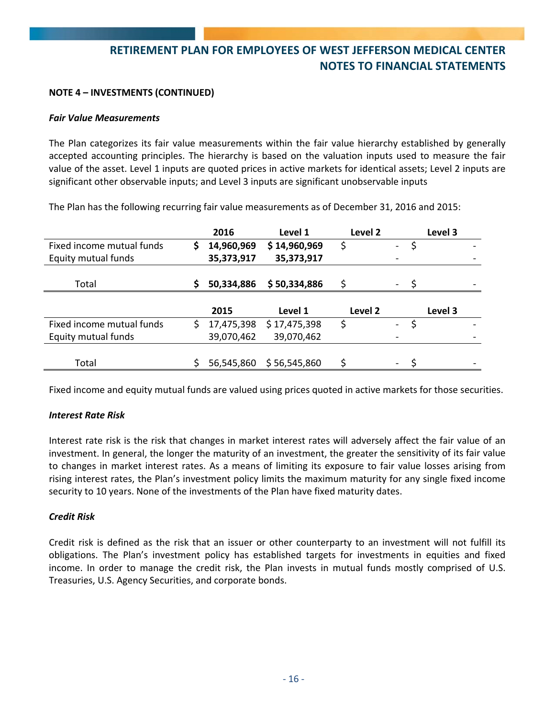## **NOTE 4 – INVESTMENTS (CONTINUED)**

#### *Fair Value Measurements*

The Plan categorizes its fair value measurements within the fair value hierarchy established by generally accepted accounting principles. The hierarchy is based on the valuation inputs used to measure the fair value of the asset. Level 1 inputs are quoted prices in active markets for identical assets; Level 2 inputs are significant other observable inputs; and Level 3 inputs are significant unobservable inputs

The Plan has the following recurring fair value measurements as of December 31, 2016 and 2015:

|                           |    | 2016       | Level 1      | Level 2 |                          |    | Level 3 |  |
|---------------------------|----|------------|--------------|---------|--------------------------|----|---------|--|
| Fixed income mutual funds | \$ | 14,960,969 | \$14,960,969 | \$      | $\overline{\phantom{0}}$ | S  |         |  |
| Equity mutual funds       |    | 35,373,917 | 35,373,917   |         |                          |    |         |  |
|                           |    |            |              |         |                          |    |         |  |
| Total                     | Ŝ. | 50,334,886 | \$50,334,886 | Ś       |                          | -S |         |  |
|                           |    |            |              |         |                          |    |         |  |
|                           |    | 2015       | Level 1      | Level 2 |                          |    | Level 3 |  |
| Fixed income mutual funds | S. | 17,475,398 | \$17,475,398 | \$      | $\overline{a}$           |    |         |  |
| Equity mutual funds       |    | 39,070,462 | 39,070,462   |         |                          |    |         |  |
|                           |    |            |              |         |                          |    |         |  |
| Total                     |    | 56,545,860 | \$56,545,860 |         | $\overline{\phantom{a}}$ |    |         |  |

Fixed income and equity mutual funds are valued using prices quoted in active markets for those securities.

#### *Interest Rate Risk*

Interest rate risk is the risk that changes in market interest rates will adversely affect the fair value of an investment. In general, the longer the maturity of an investment, the greater the sensitivity of its fair value to changes in market interest rates. As a means of limiting its exposure to fair value losses arising from rising interest rates, the Plan's investment policy limits the maximum maturity for any single fixed income security to 10 years. None of the investments of the Plan have fixed maturity dates.

#### *Credit Risk*

Credit risk is defined as the risk that an issuer or other counterparty to an investment will not fulfill its obligations. The Plan's investment policy has established targets for investments in equities and fixed income. In order to manage the credit risk, the Plan invests in mutual funds mostly comprised of U.S. Treasuries, U.S. Agency Securities, and corporate bonds.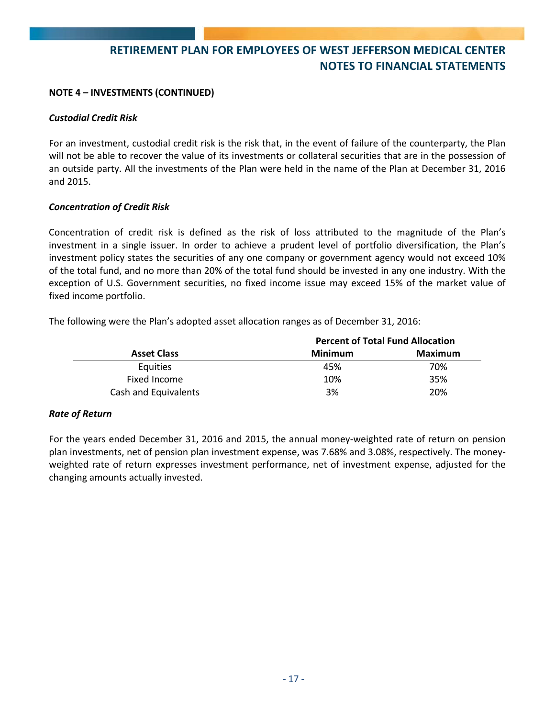### **NOTE 4 – INVESTMENTS (CONTINUED)**

### *Custodial Credit Risk*

For an investment, custodial credit risk is the risk that, in the event of failure of the counterparty, the Plan will not be able to recover the value of its investments or collateral securities that are in the possession of an outside party. All the investments of the Plan were held in the name of the Plan at December 31, 2016 and 2015.

### *Concentration of Credit Risk*

Concentration of credit risk is defined as the risk of loss attributed to the magnitude of the Plan's investment in a single issuer. In order to achieve a prudent level of portfolio diversification, the Plan's investment policy states the securities of any one company or government agency would not exceed 10% of the total fund, and no more than 20% of the total fund should be invested in any one industry. With the exception of U.S. Government securities, no fixed income issue may exceed 15% of the market value of fixed income portfolio.

The following were the Plan's adopted asset allocation ranges as of December 31, 2016:

|                      |         | <b>Percent of Total Fund Allocation</b> |
|----------------------|---------|-----------------------------------------|
| <b>Asset Class</b>   | Minimum | Maximum                                 |
| <b>Equities</b>      | 45%     | 70%                                     |
| Fixed Income         | 10%     | 35%                                     |
| Cash and Equivalents | 3%      | 20%                                     |

## *Rate of Return*

For the years ended December 31, 2016 and 2015, the annual money‐weighted rate of return on pension plan investments, net of pension plan investment expense, was 7.68% and 3.08%, respectively. The money‐ weighted rate of return expresses investment performance, net of investment expense, adjusted for the changing amounts actually invested.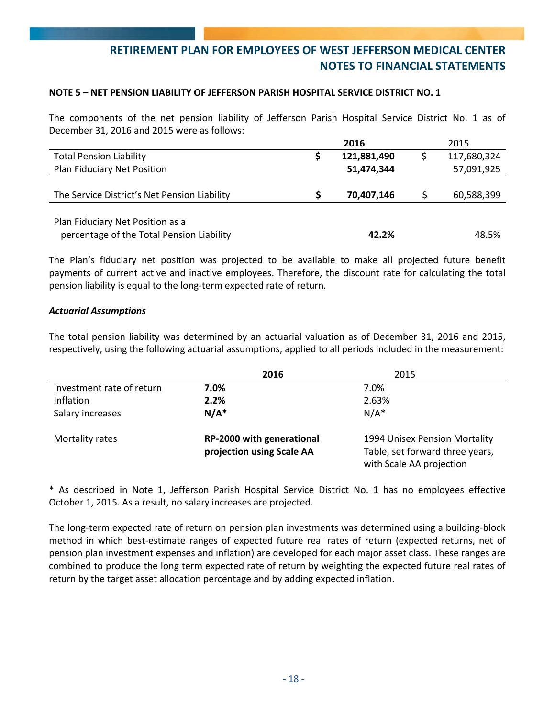#### **NOTE 5 – NET PENSION LIABILITY OF JEFFERSON PARISH HOSPITAL SERVICE DISTRICT NO. 1**

The components of the net pension liability of Jefferson Parish Hospital Service District No. 1 as of December 31, 2016 and 2015 were as follows:

|                                              | 2016        | 2015        |
|----------------------------------------------|-------------|-------------|
| <b>Total Pension Liability</b>               | 121,881,490 | 117,680,324 |
| Plan Fiduciary Net Position                  | 51,474,344  | 57,091,925  |
|                                              |             |             |
| The Service District's Net Pension Liability | 70,407,146  | 60,588,399  |
|                                              |             |             |
| Plan Fiduciary Net Position as a             |             |             |
| percentage of the Total Pension Liability    | 42.2%       | 48.5%       |

The Plan's fiduciary net position was projected to be available to make all projected future benefit payments of current active and inactive employees. Therefore, the discount rate for calculating the total pension liability is equal to the long‐term expected rate of return.

#### *Actuarial Assumptions*

The total pension liability was determined by an actuarial valuation as of December 31, 2016 and 2015, respectively, using the following actuarial assumptions, applied to all periods included in the measurement:

|                           | 2016                                                   | 2015                                                                                         |
|---------------------------|--------------------------------------------------------|----------------------------------------------------------------------------------------------|
| Investment rate of return | 7.0%                                                   | 7.0%                                                                                         |
| Inflation                 | 2.2%                                                   | 2.63%                                                                                        |
| Salary increases          | $N/A^*$                                                | $N/A^*$                                                                                      |
| Mortality rates           | RP-2000 with generational<br>projection using Scale AA | 1994 Unisex Pension Mortality<br>Table, set forward three years,<br>with Scale AA projection |

\* As described in Note 1, Jefferson Parish Hospital Service District No. 1 has no employees effective October 1, 2015. As a result, no salary increases are projected.

The long-term expected rate of return on pension plan investments was determined using a building-block method in which best‐estimate ranges of expected future real rates of return (expected returns, net of pension plan investment expenses and inflation) are developed for each major asset class. These ranges are combined to produce the long term expected rate of return by weighting the expected future real rates of return by the target asset allocation percentage and by adding expected inflation.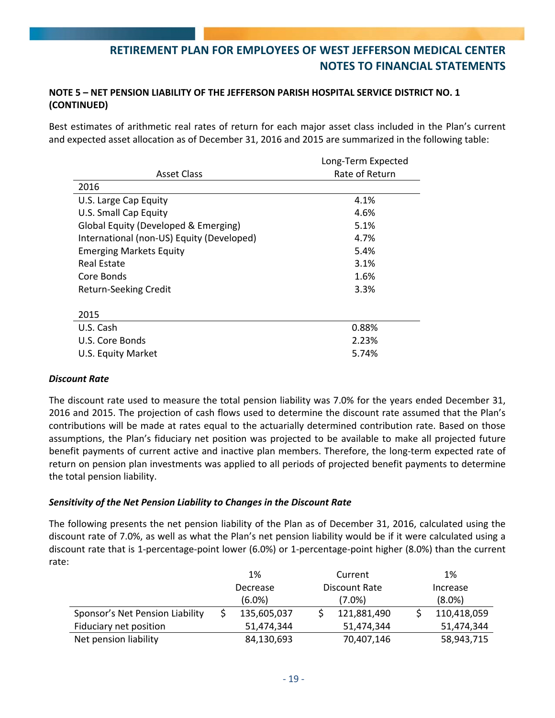## **NOTE 5 – NET PENSION LIABILITY OF THE JEFFERSON PARISH HOSPITAL SERVICE DISTRICT NO. 1 (CONTINUED)**

Best estimates of arithmetic real rates of return for each major asset class included in the Plan's current and expected asset allocation as of December 31, 2016 and 2015 are summarized in the following table:

|                                           | Long-Term Expected |
|-------------------------------------------|--------------------|
| <b>Asset Class</b>                        | Rate of Return     |
| 2016                                      |                    |
| U.S. Large Cap Equity                     | 4.1%               |
| U.S. Small Cap Equity                     | 4.6%               |
| Global Equity (Developed & Emerging)      | 5.1%               |
| International (non-US) Equity (Developed) | 4.7%               |
| <b>Emerging Markets Equity</b>            | 5.4%               |
| Real Estate                               | 3.1%               |
| Core Bonds                                | 1.6%               |
| <b>Return-Seeking Credit</b>              | 3.3%               |
|                                           |                    |
| 2015                                      |                    |
| U.S. Cash                                 | 0.88%              |
| U.S. Core Bonds                           | 2.23%              |
| U.S. Equity Market                        | 5.74%              |

## *Discount Rate*

The discount rate used to measure the total pension liability was 7.0% for the years ended December 31, 2016 and 2015. The projection of cash flows used to determine the discount rate assumed that the Plan's contributions will be made at rates equal to the actuarially determined contribution rate. Based on those assumptions, the Plan's fiduciary net position was projected to be available to make all projected future benefit payments of current active and inactive plan members. Therefore, the long-term expected rate of return on pension plan investments was applied to all periods of projected benefit payments to determine the total pension liability.

## *Sensitivity of the Net Pension Liability to Changes in the Discount Rate*

The following presents the net pension liability of the Plan as of December 31, 2016, calculated using the discount rate of 7.0%, as well as what the Plan's net pension liability would be if it were calculated using a discount rate that is 1‐percentage‐point lower (6.0%) or 1‐percentage‐point higher (8.0%) than the current rate:

|                                 |          | 1%          |               | Current     | 1%          |
|---------------------------------|----------|-------------|---------------|-------------|-------------|
|                                 | Decrease |             | Discount Rate |             | Increase    |
|                                 |          | $(6.0\%)$   |               | (7.0%)      | $(8.0\%)$   |
| Sponsor's Net Pension Liability |          | 135,605,037 |               | 121,881,490 | 110,418,059 |
| Fiduciary net position          |          | 51,474,344  |               | 51,474,344  | 51,474,344  |
| Net pension liability           |          | 84,130,693  |               | 70,407,146  | 58,943,715  |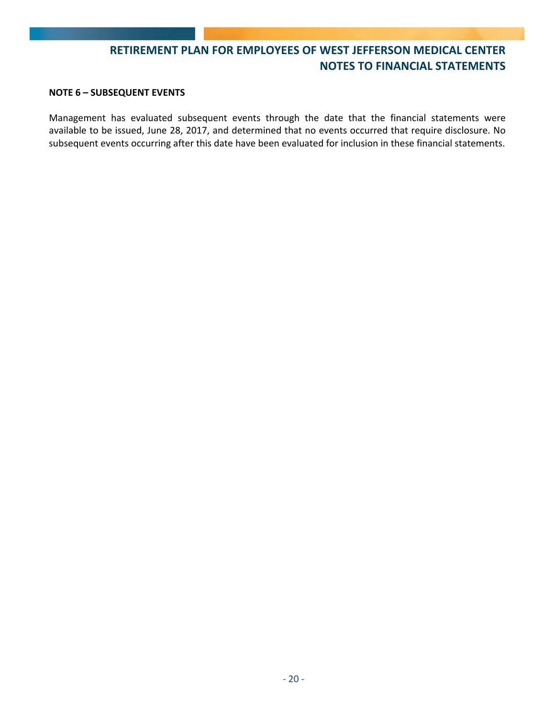#### **NOTE 6 – SUBSEQUENT EVENTS**

Management has evaluated subsequent events through the date that the financial statements were available to be issued, June 28, 2017, and determined that no events occurred that require disclosure. No subsequent events occurring after this date have been evaluated for inclusion in these financial statements.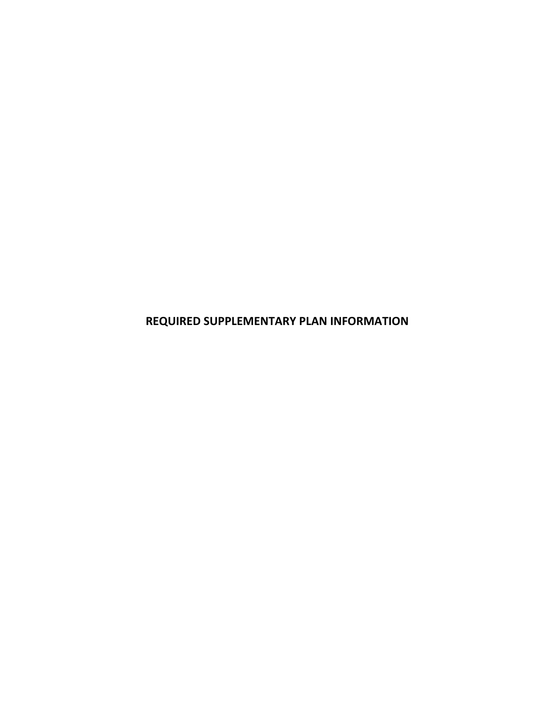**REQUIRED SUPPLEMENTARY PLAN INFORMATION**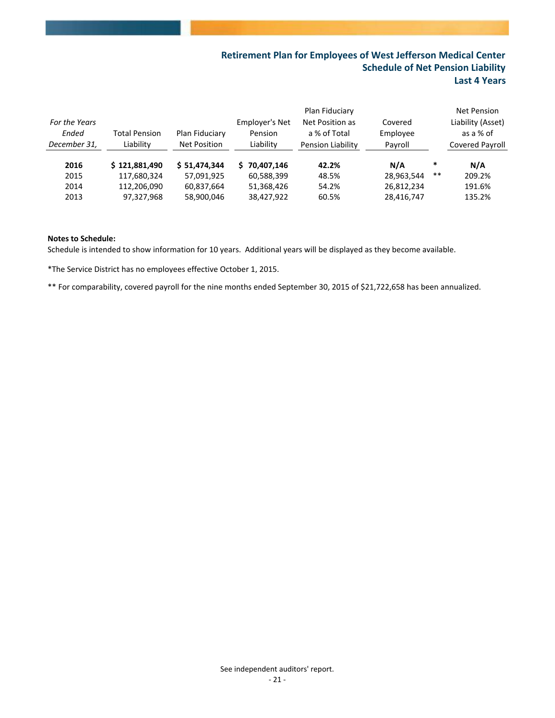## **Retirement Plan for Employees of West Jefferson Medical Center Schedule of Net Pension Liability Last 4 Years**

| For the Years<br>Ended<br>December 31, | <b>Total Pension</b><br>Liability | Plan Fiduciary<br>Net Position | Employer's Net<br>Pension<br>Liability | Plan Fiduciary<br>Net Position as<br>a % of Total<br>Pension Liability | Covered<br>Employee<br>Payroll |        | Net Pension<br>Liability (Asset)<br>as a % of<br><b>Covered Payroll</b> |
|----------------------------------------|-----------------------------------|--------------------------------|----------------------------------------|------------------------------------------------------------------------|--------------------------------|--------|-------------------------------------------------------------------------|
| 2016                                   | \$121,881,490                     | \$51,474,344                   | 70.407.146<br>S.                       | 42.2%                                                                  | N/A                            | $\ast$ | N/A                                                                     |
| 2015                                   | 117,680,324                       | 57,091,925                     | 60,588,399                             | 48.5%                                                                  | 28,963,544                     | **     | 209.2%                                                                  |
| 2014                                   | 112,206,090                       | 60,837,664                     | 51,368,426                             | 54.2%                                                                  | 26,812,234                     |        | 191.6%                                                                  |
| 2013                                   | 97,327,968                        | 58,900,046                     | 38,427,922                             | 60.5%                                                                  | 28,416,747                     |        | 135.2%                                                                  |

#### **Notes to Schedule:**

Schedule is intended to show information for 10 years. Additional years will be displayed as they become available.

\*The Service District has no employees effective October 1, 2015.

\*\* For comparability, covered payroll for the nine months ended September 30, 2015 of \$21,722,658 has been annualized.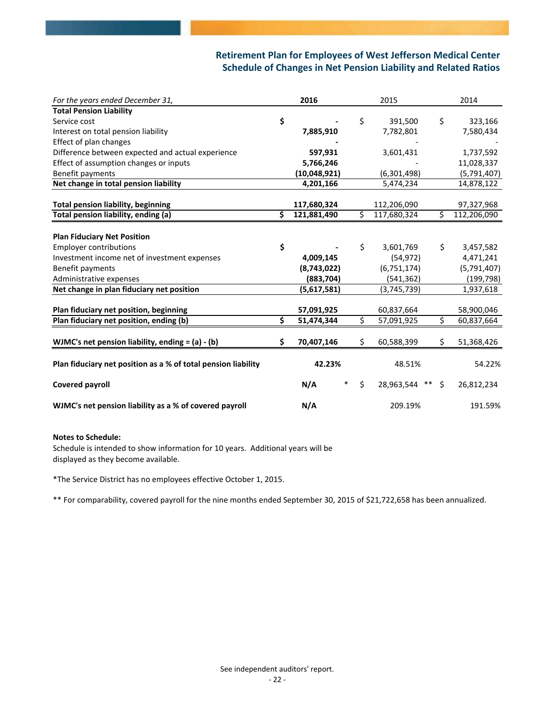## **Retirement Plan for Employees of West Jefferson Medical Center Schedule of Changes in Net Pension Liability and Related Ratios**

| For the years ended December 31,                              | 2016              | 2015                   | 2014              |
|---------------------------------------------------------------|-------------------|------------------------|-------------------|
| <b>Total Pension Liability</b>                                |                   |                        |                   |
| Service cost                                                  | \$                | \$<br>391,500          | \$<br>323,166     |
| Interest on total pension liability                           | 7,885,910         | 7,782,801              | 7,580,434         |
| Effect of plan changes                                        |                   |                        |                   |
| Difference between expected and actual experience             | 597,931           | 3,601,431              | 1,737,592         |
| Effect of assumption changes or inputs                        | 5,766,246         |                        | 11,028,337        |
| Benefit payments                                              | (10,048,921)      | (6,301,498)            | (5,791,407)       |
| Net change in total pension liability                         | 4,201,166         | 5,474,234              | 14,878,122        |
|                                                               |                   |                        |                   |
| <b>Total pension liability, beginning</b>                     | 117,680,324       | 112,206,090            | 97,327,968        |
| Total pension liability, ending (a)                           | \$<br>121,881,490 | \$<br>117,680,324      | \$<br>112,206,090 |
|                                                               |                   |                        |                   |
| <b>Plan Fiduciary Net Position</b>                            |                   |                        |                   |
| <b>Employer contributions</b>                                 | \$                | \$<br>3,601,769        | \$<br>3,457,582   |
| Investment income net of investment expenses                  | 4,009,145         | (54, 972)              | 4,471,241         |
| Benefit payments                                              | (8,743,022)       | (6, 751, 174)          | (5,791,407)       |
| Administrative expenses                                       | (883, 704)        | (541, 362)             | (199, 798)        |
| Net change in plan fiduciary net position                     | (5,617,581)       | (3,745,739)            | 1,937,618         |
|                                                               |                   |                        |                   |
| Plan fiduciary net position, beginning                        | 57,091,925        | 60,837,664             | 58,900,046        |
| Plan fiduciary net position, ending (b)                       | \$<br>51,474,344  | \$<br>57,091,925       | \$<br>60,837,664  |
|                                                               |                   |                        |                   |
| WJMC's net pension liability, ending $= (a) - (b)$            | \$<br>70,407,146  | \$<br>60,588,399       | \$<br>51,368,426  |
|                                                               |                   |                        |                   |
| Plan fiduciary net position as a % of total pension liability | 42.23%            | 48.51%                 | 54.22%            |
| <b>Covered payroll</b>                                        | N/A<br>$\ast$     | \$<br>28,963,544 ** \$ | 26,812,234        |
|                                                               |                   |                        |                   |
| WJMC's net pension liability as a % of covered payroll        | N/A               | 209.19%                | 191.59%           |

#### **Notes to Schedule:**

Schedule is intended to show information for 10 years. Additional years will be displayed as they become available.

\*The Service District has no employees effective October 1, 2015.

\*\* For comparability, covered payroll for the nine months ended September 30, 2015 of \$21,722,658 has been annualized.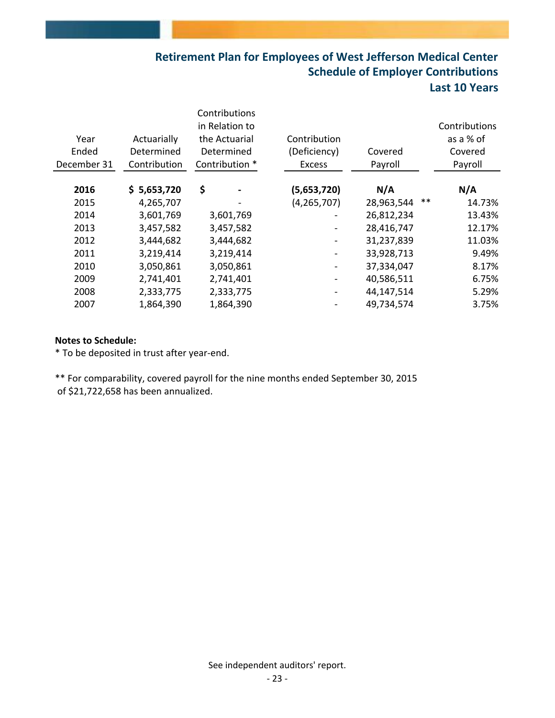# **Retirement Plan for Employees of West Jefferson Medical Center Schedule of Employer Contributions Last 10 Years**

| Year<br>Ended<br>December 31 | Actuarially<br>Determined<br>Contribution | Contributions<br>in Relation to<br>the Actuarial<br>Determined<br>Contribution * | Contribution<br>(Deficiency)<br><b>Excess</b> | Covered<br>Payroll  | Contributions<br>as a % of<br>Covered<br>Payroll |
|------------------------------|-------------------------------------------|----------------------------------------------------------------------------------|-----------------------------------------------|---------------------|--------------------------------------------------|
| 2016                         | \$5,653,720                               | \$                                                                               | (5,653,720)                                   | N/A                 | N/A                                              |
| 2015                         | 4,265,707                                 | $\qquad \qquad \blacksquare$                                                     | (4, 265, 707)                                 | $***$<br>28,963,544 | 14.73%                                           |
| 2014                         | 3,601,769                                 | 3,601,769                                                                        |                                               | 26,812,234          | 13.43%                                           |
| 2013                         | 3,457,582                                 | 3,457,582                                                                        |                                               | 28,416,747          | 12.17%                                           |
| 2012                         | 3,444,682                                 | 3,444,682                                                                        |                                               | 31,237,839          | 11.03%                                           |
| 2011                         | 3,219,414                                 | 3,219,414                                                                        |                                               | 33,928,713          | 9.49%                                            |
| 2010                         | 3,050,861                                 | 3,050,861                                                                        |                                               | 37,334,047          | 8.17%                                            |
| 2009                         | 2,741,401                                 | 2,741,401                                                                        |                                               | 40,586,511          | 6.75%                                            |
| 2008                         | 2,333,775                                 | 2,333,775                                                                        |                                               | 44,147,514          | 5.29%                                            |
| 2007                         | 1,864,390                                 | 1,864,390                                                                        |                                               | 49,734,574          | 3.75%                                            |
|                              |                                           |                                                                                  |                                               |                     |                                                  |

### **Notes to Schedule:**

\* To be deposited in trust after year‐end.

\*\* For comparability, covered payroll for the nine months ended September 30, 2015 of \$21,722,658 has been annualized.

See independent auditors' report.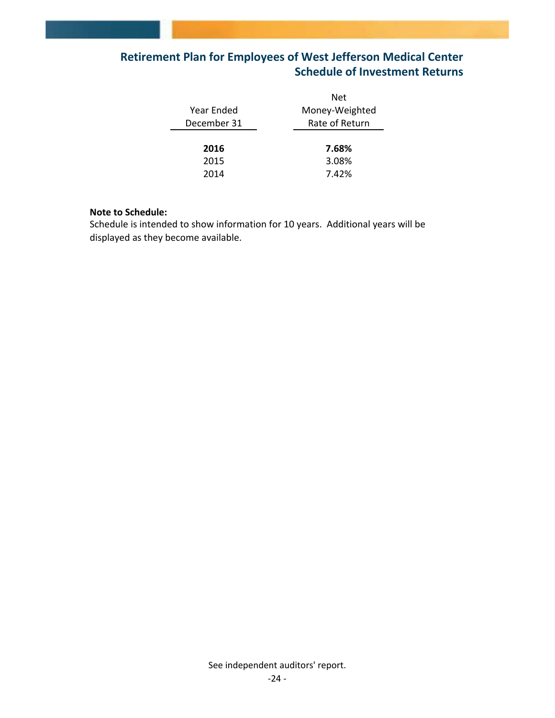# **Retirement Plan for Employees of West Jefferson Medical Center Schedule of Investment Returns**

|             | Net            |
|-------------|----------------|
| Year Ended  | Money-Weighted |
| December 31 | Rate of Return |
|             |                |
| 2016        | 7.68%          |
| 2015        | 3.08%          |
| 2014        | 7.42%          |
|             |                |

### **Note to Schedule:**

Schedule is intended to show information for 10 years. Additional years will be displayed as they become available.

See independent auditors' report.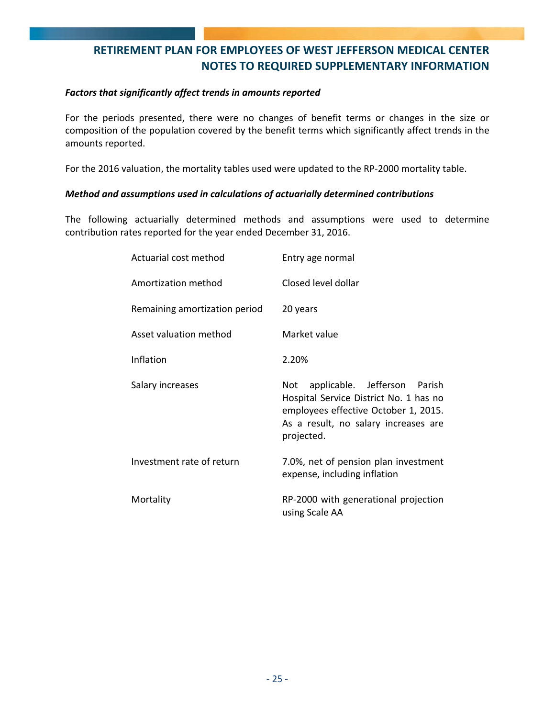## **RETIREMENT PLAN FOR EMPLOYEES OF WEST JEFFERSON MEDICAL CENTER NOTES TO REQUIRED SUPPLEMENTARY INFORMATION**

### *Factors that significantly affect trends in amounts reported*

For the periods presented, there were no changes of benefit terms or changes in the size or composition of the population covered by the benefit terms which significantly affect trends in the amounts reported.

For the 2016 valuation, the mortality tables used were updated to the RP-2000 mortality table.

## *Method and assumptions used in calculations of actuarially determined contributions*

The following actuarially determined methods and assumptions were used to determine contribution rates reported for the year ended December 31, 2016.

| Actuarial cost method         | Entry age normal                                                                                                                                                            |
|-------------------------------|-----------------------------------------------------------------------------------------------------------------------------------------------------------------------------|
| Amortization method           | Closed level dollar                                                                                                                                                         |
| Remaining amortization period | 20 years                                                                                                                                                                    |
| Asset valuation method        | Market value                                                                                                                                                                |
| Inflation                     | 2.20%                                                                                                                                                                       |
| Salary increases              | applicable. Jefferson Parish<br>Not<br>Hospital Service District No. 1 has no<br>employees effective October 1, 2015.<br>As a result, no salary increases are<br>projected. |
| Investment rate of return     | 7.0%, net of pension plan investment<br>expense, including inflation                                                                                                        |
| Mortality                     | RP-2000 with generational projection<br>using Scale AA                                                                                                                      |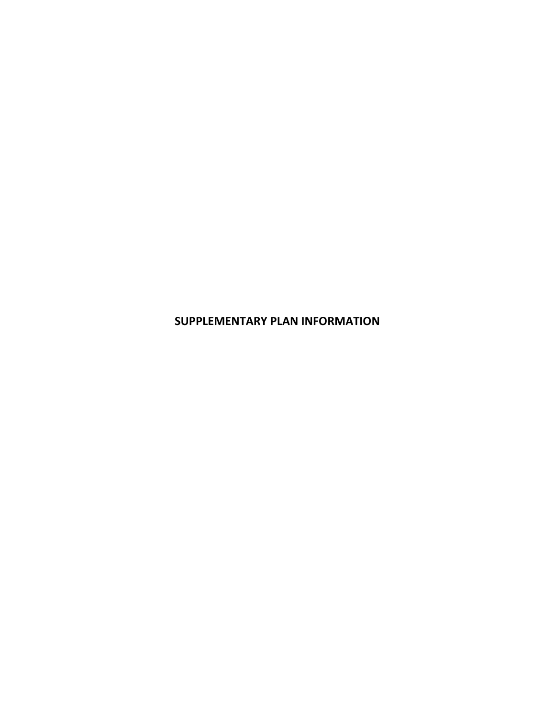**SUPPLEMENTARY PLAN INFORMATION**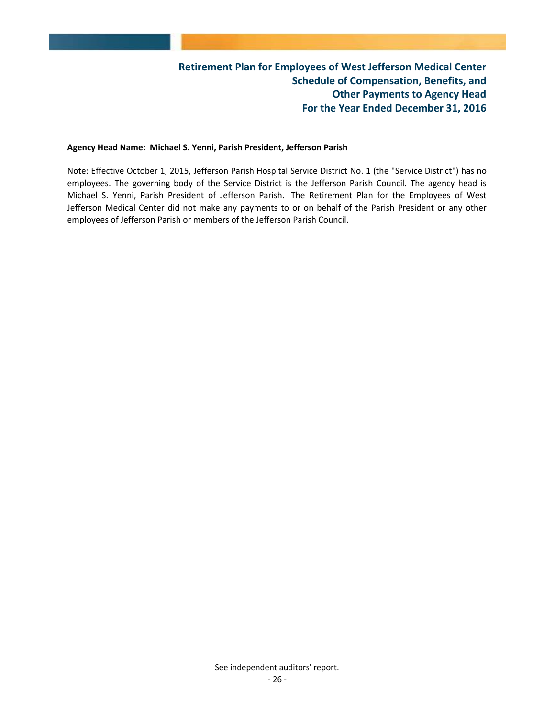#### **Agency Head Name: Michael S. Yenni, Parish President, Jefferson Parish**

Note: Effective October 1, 2015, Jefferson Parish Hospital Service District No. 1 (the "Service District") has no employees. The governing body of the Service District is the Jefferson Parish Council. The agency head is Michael S. Yenni, Parish President of Jefferson Parish. The Retirement Plan for the Employees of West Jefferson Medical Center did not make any payments to or on behalf of the Parish President or any other employees of Jefferson Parish or members of the Jefferson Parish Council.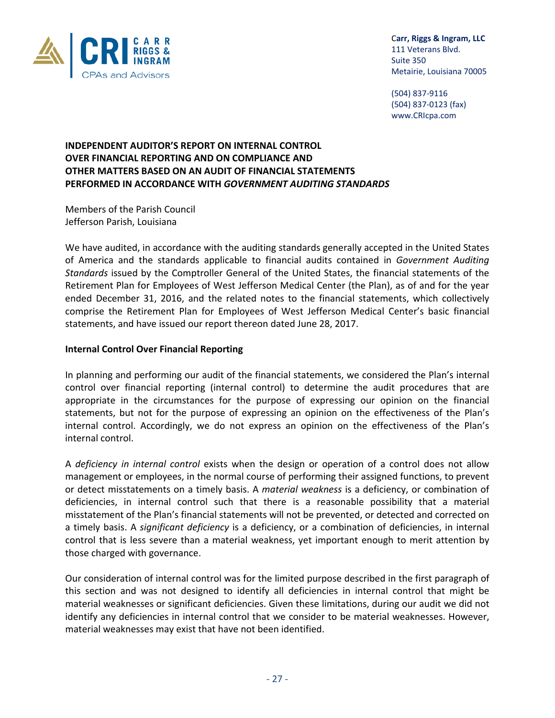

 C**arr, Riggs & Ingram, LLC** 111 Veterans Blvd.

 (504) 837‐9116 (504) 837‐0123 (fax) www.CRIcpa.com

## **INDEPENDENT AUDITOR'S REPORT ON INTERNAL CONTROL OVER FINANCIAL REPORTING AND ON COMPLIANCE AND OTHER MATTERS BASED ON AN AUDIT OF FINANCIAL STATEMENTS PERFORMED IN ACCORDANCE WITH** *GOVERNMENT AUDITING STANDARDS*

Members of the Parish Council Jefferson Parish, Louisiana

We have audited, in accordance with the auditing standards generally accepted in the United States of America and the standards applicable to financial audits contained in *Government Auditing Standards* issued by the Comptroller General of the United States, the financial statements of the Retirement Plan for Employees of West Jefferson Medical Center (the Plan), as of and for the year ended December 31, 2016, and the related notes to the financial statements, which collectively comprise the Retirement Plan for Employees of West Jefferson Medical Center's basic financial statements, and have issued our report thereon dated June 28, 2017.

## **Internal Control Over Financial Reporting**

In planning and performing our audit of the financial statements, we considered the Plan's internal control over financial reporting (internal control) to determine the audit procedures that are appropriate in the circumstances for the purpose of expressing our opinion on the financial statements, but not for the purpose of expressing an opinion on the effectiveness of the Plan's internal control. Accordingly, we do not express an opinion on the effectiveness of the Plan's internal control.

A *deficiency in internal control* exists when the design or operation of a control does not allow management or employees, in the normal course of performing their assigned functions, to prevent or detect misstatements on a timely basis. A *material weakness* is a deficiency, or combination of deficiencies, in internal control such that there is a reasonable possibility that a material misstatement of the Plan's financial statements will not be prevented, or detected and corrected on a timely basis. A *significant deficiency* is a deficiency, or a combination of deficiencies, in internal control that is less severe than a material weakness, yet important enough to merit attention by those charged with governance.

Our consideration of internal control was for the limited purpose described in the first paragraph of this section and was not designed to identify all deficiencies in internal control that might be material weaknesses or significant deficiencies. Given these limitations, during our audit we did not identify any deficiencies in internal control that we consider to be material weaknesses. However, material weaknesses may exist that have not been identified.